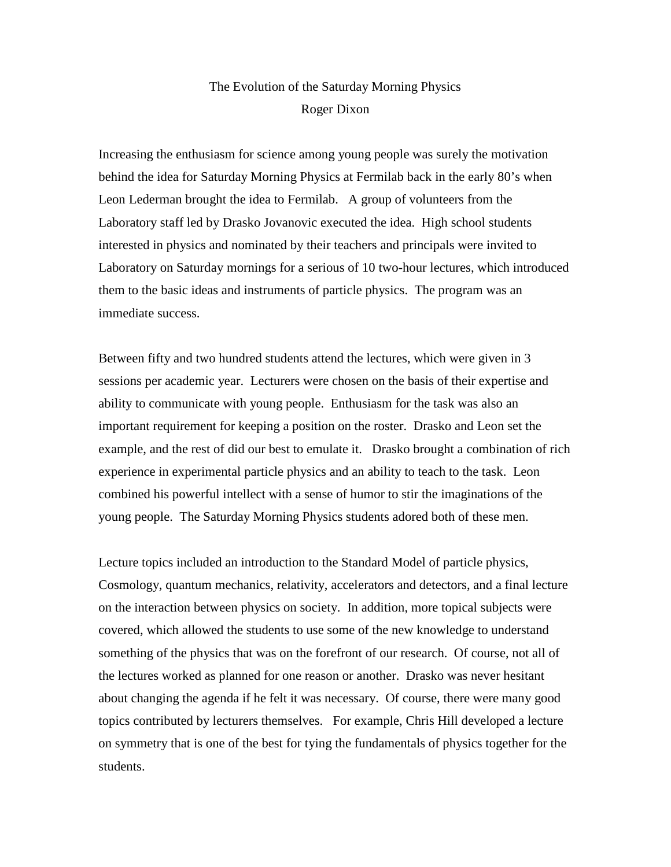## The Evolution of the Saturday Morning Physics Roger Dixon

Increasing the enthusiasm for science among young people was surely the motivation behind the idea for Saturday Morning Physics at Fermilab back in the early 80's when Leon Lederman brought the idea to Fermilab. A group of volunteers from the Laboratory staff led by Drasko Jovanovic executed the idea. High school students interested in physics and nominated by their teachers and principals were invited to Laboratory on Saturday mornings for a serious of 10 two-hour lectures, which introduced them to the basic ideas and instruments of particle physics. The program was an immediate success.

Between fifty and two hundred students attend the lectures, which were given in 3 sessions per academic year. Lecturers were chosen on the basis of their expertise and ability to communicate with young people. Enthusiasm for the task was also an important requirement for keeping a position on the roster. Drasko and Leon set the example, and the rest of did our best to emulate it. Drasko brought a combination of rich experience in experimental particle physics and an ability to teach to the task. Leon combined his powerful intellect with a sense of humor to stir the imaginations of the young people. The Saturday Morning Physics students adored both of these men.

Lecture topics included an introduction to the Standard Model of particle physics, Cosmology, quantum mechanics, relativity, accelerators and detectors, and a final lecture on the interaction between physics on society. In addition, more topical subjects were covered, which allowed the students to use some of the new knowledge to understand something of the physics that was on the forefront of our research. Of course, not all of the lectures worked as planned for one reason or another. Drasko was never hesitant about changing the agenda if he felt it was necessary. Of course, there were many good topics contributed by lecturers themselves. For example, Chris Hill developed a lecture on symmetry that is one of the best for tying the fundamentals of physics together for the students.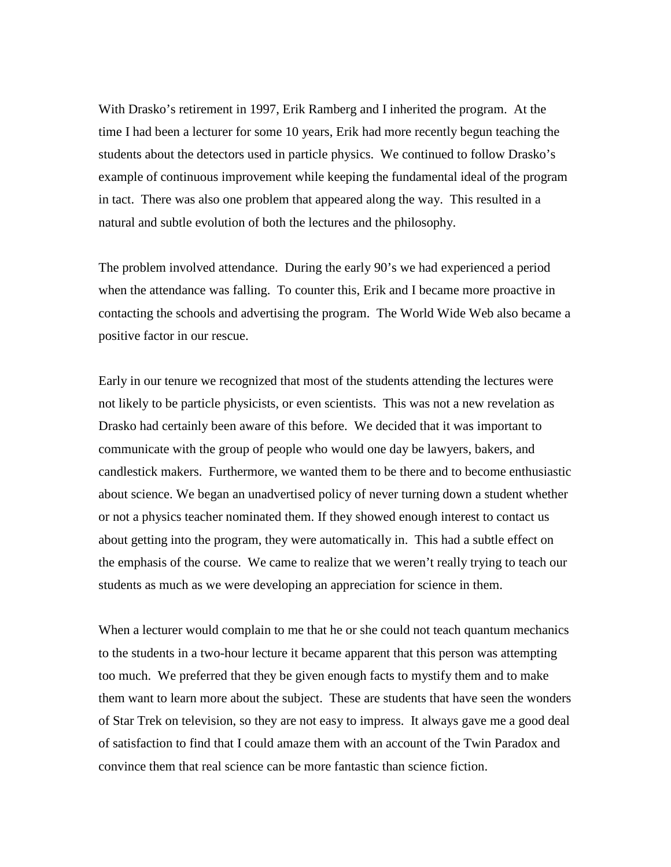With Drasko's retirement in 1997, Erik Ramberg and I inherited the program. At the time I had been a lecturer for some 10 years, Erik had more recently begun teaching the students about the detectors used in particle physics. We continued to follow Drasko's example of continuous improvement while keeping the fundamental ideal of the program in tact. There was also one problem that appeared along the way. This resulted in a natural and subtle evolution of both the lectures and the philosophy.

The problem involved attendance. During the early 90's we had experienced a period when the attendance was falling. To counter this, Erik and I became more proactive in contacting the schools and advertising the program. The World Wide Web also became a positive factor in our rescue.

Early in our tenure we recognized that most of the students attending the lectures were not likely to be particle physicists, or even scientists. This was not a new revelation as Drasko had certainly been aware of this before. We decided that it was important to communicate with the group of people who would one day be lawyers, bakers, and candlestick makers. Furthermore, we wanted them to be there and to become enthusiastic about science. We began an unadvertised policy of never turning down a student whether or not a physics teacher nominated them. If they showed enough interest to contact us about getting into the program, they were automatically in. This had a subtle effect on the emphasis of the course. We came to realize that we weren't really trying to teach our students as much as we were developing an appreciation for science in them.

When a lecturer would complain to me that he or she could not teach quantum mechanics to the students in a two-hour lecture it became apparent that this person was attempting too much. We preferred that they be given enough facts to mystify them and to make them want to learn more about the subject. These are students that have seen the wonders of Star Trek on television, so they are not easy to impress. It always gave me a good deal of satisfaction to find that I could amaze them with an account of the Twin Paradox and convince them that real science can be more fantastic than science fiction.